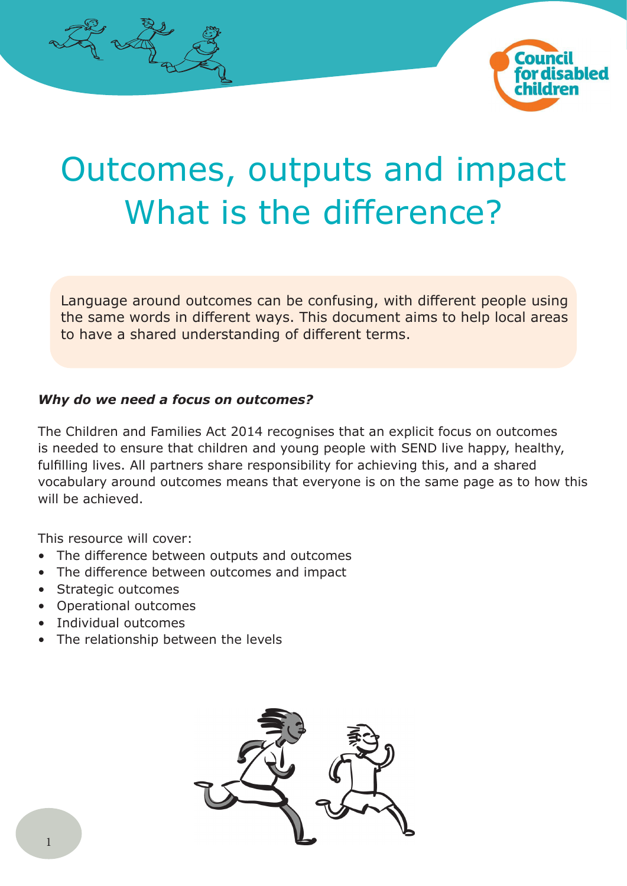



# Outcomes, outputs and impact What is the difference?

Language around outcomes can be confusing, with different people using the same words in different ways. This document aims to help local areas to have a shared understanding of different terms.

## *Why do we need a focus on outcomes?*

The Children and Families Act 2014 recognises that an explicit focus on outcomes is needed to ensure that children and young people with SEND live happy, healthy, fulfilling lives. All partners share responsibility for achieving this, and a shared vocabulary around outcomes means that everyone is on the same page as to how this will be achieved.

This resource will cover:

- The difference between outputs and outcomes
- The difference between outcomes and impact
- Strategic outcomes
- Operational outcomes
- Individual outcomes
- The relationship between the levels

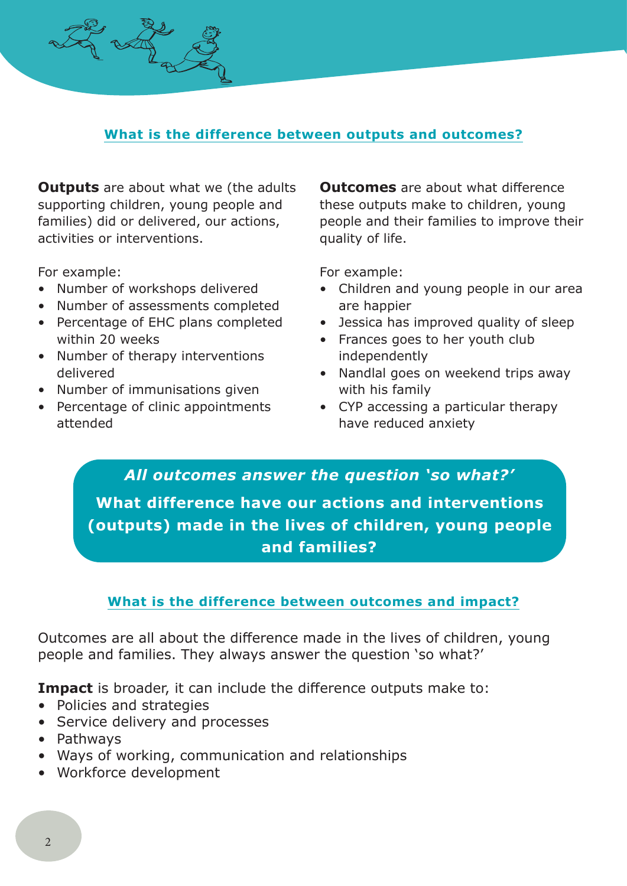## **What is the difference between outputs and outcomes?**

**Outputs** are about what we (the adults supporting children, young people and families) did or delivered, our actions, activities or interventions.

For example:

- Number of workshops delivered
- Number of assessments completed
- Percentage of EHC plans completed within 20 weeks
- Number of therapy interventions delivered
- Number of immunisations given
- Percentage of clinic appointments attended

**Outcomes** are about what difference these outputs make to children, young people and their families to improve their quality of life.

For example:

- Children and young people in our area are happier
- Jessica has improved quality of sleep
- Frances goes to her youth club independently
- Nandlal goes on weekend trips away with his family
- CYP accessing a particular therapy have reduced anxiety

*All outcomes answer the question 'so what?'* **What difference have our actions and interventions (outputs) made in the lives of children, young people and families?**

## **What is the difference between outcomes and impact?**

Outcomes are all about the difference made in the lives of children, young people and families. They always answer the question 'so what?'

**Impact** is broader, it can include the difference outputs make to:

- Policies and strategies
- Service delivery and processes
- Pathways
- Ways of working, communication and relationships
- Workforce development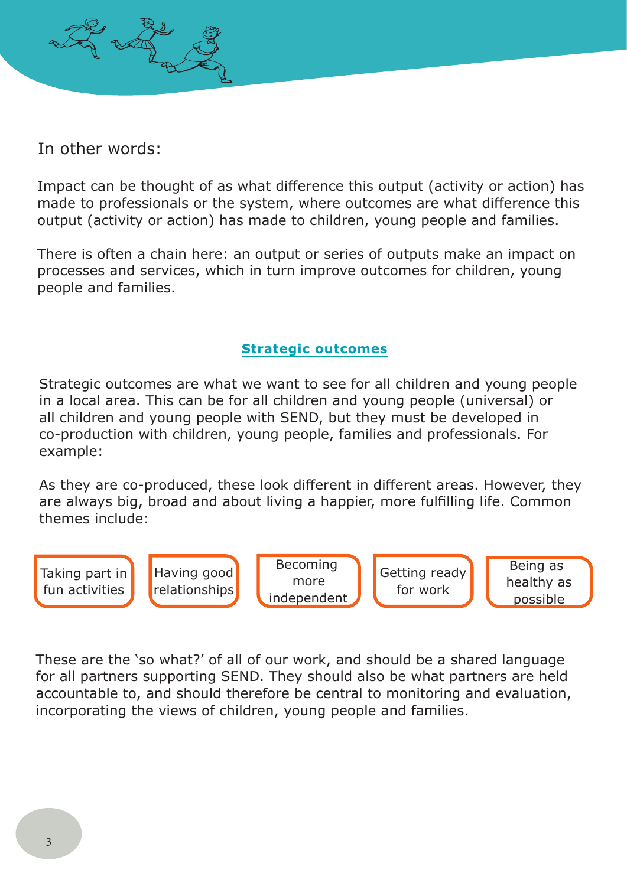

Impact can be thought of as what difference this output (activity or action) has made to professionals or the system, where outcomes are what difference this output (activity or action) has made to children, young people and families.

There is often a chain here: an output or series of outputs make an impact on processes and services, which in turn improve outcomes for children, young people and families.

## **Strategic outcomes**

Strategic outcomes are what we want to see for all children and young people in a local area. This can be for all children and young people (universal) or all children and young people with SEND, but they must be developed in co-production with children, young people, families and professionals. For example:

As they are co-produced, these look different in different areas. However, they are always big, broad and about living a happier, more fulfilling life. Common themes include:

Taking part in fun activities

Having good relationships

Becoming more independent

Getting ready for work

Being as healthy as possible

These are the 'so what?' of all of our work, and should be a shared language for all partners supporting SEND. They should also be what partners are held accountable to, and should therefore be central to monitoring and evaluation, incorporating the views of children, young people and families.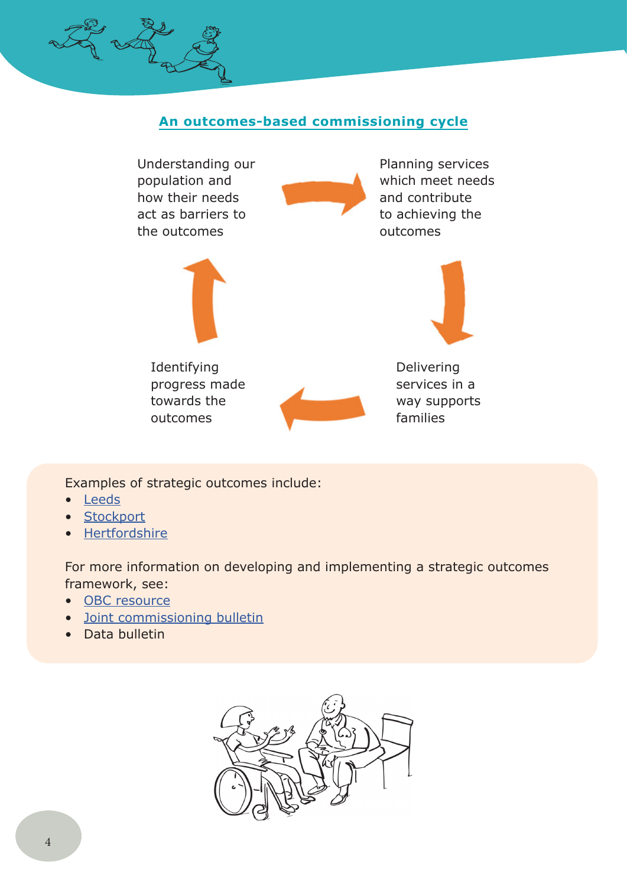## **An outcomes-based commissioning cycle**



Examples of strategic outcomes include:

- Leeds
- Stockport
- Hertfordshire

For more information on developing and implementing a strategic outcomes framework, see:

- OBC resource
- Joint commissioning bulletin
- Data bulletin

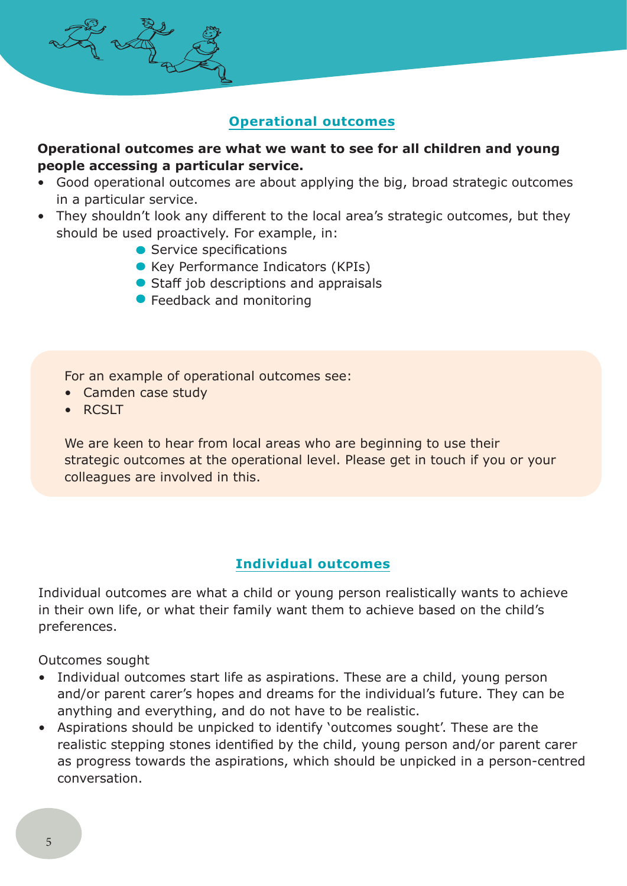## **Operational outcomes**

## **Operational outcomes are what we want to see for all children and young people accessing a particular service.**

- Good operational outcomes are about applying the big, broad strategic outcomes in a particular service.
- They shouldn't look any different to the local area's strategic outcomes, but they should be used proactively. For example, in:
	- Service specifications
	- Key Performance Indicators (KPIs)
	- Staff job descriptions and appraisals
	- **Feedback and monitoring**

For an example of operational outcomes see:

- Camden case study
- RCSLT

We are keen to hear from local areas who are beginning to use their strategic outcomes at the operational level. Please get in touch if you or your colleagues are involved in this.

## **Individual outcomes**

Individual outcomes are what a child or young person realistically wants to achieve in their own life, or what their family want them to achieve based on the child's preferences.

Outcomes sought

- Individual outcomes start life as aspirations. These are a child, young person and/or parent carer's hopes and dreams for the individual's future. They can be anything and everything, and do not have to be realistic.
- Aspirations should be unpicked to identify 'outcomes sought'. These are the realistic stepping stones identified by the child, young person and/or parent carer as progress towards the aspirations, which should be unpicked in a person-centred conversation.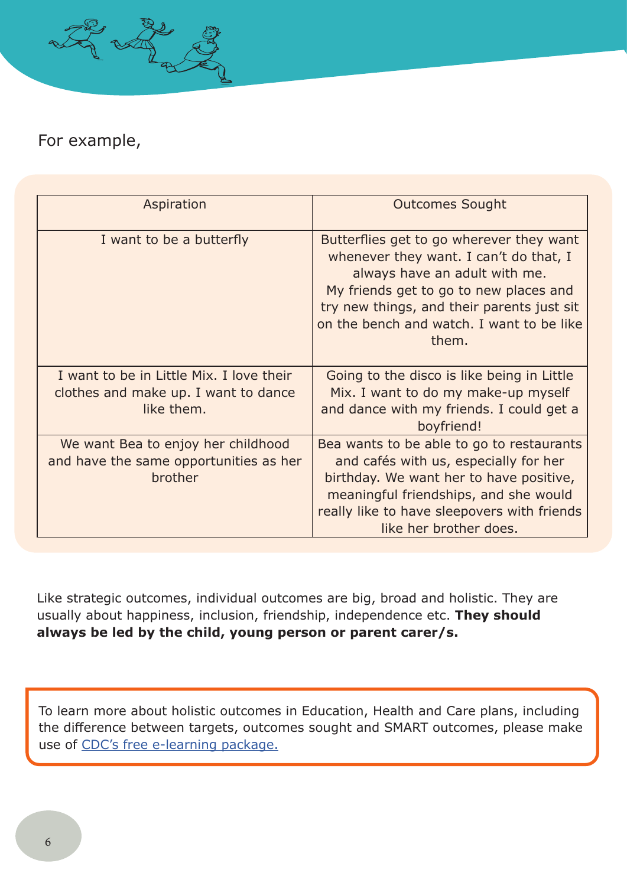

## For example,

| Aspiration                                                                                     | <b>Outcomes Sought</b>                                                                                                                                                                                                                                            |
|------------------------------------------------------------------------------------------------|-------------------------------------------------------------------------------------------------------------------------------------------------------------------------------------------------------------------------------------------------------------------|
| I want to be a butterfly                                                                       | Butterflies get to go wherever they want<br>whenever they want. I can't do that, I<br>always have an adult with me.<br>My friends get to go to new places and<br>try new things, and their parents just sit<br>on the bench and watch. I want to be like<br>them. |
| I want to be in Little Mix. I love their<br>clothes and make up. I want to dance<br>like them. | Going to the disco is like being in Little<br>Mix. I want to do my make-up myself<br>and dance with my friends. I could get a<br>boyfriend!                                                                                                                       |
| We want Bea to enjoy her childhood<br>and have the same opportunities as her<br>brother        | Bea wants to be able to go to restaurants<br>and cafés with us, especially for her<br>birthday. We want her to have positive,<br>meaningful friendships, and she would<br>really like to have sleepovers with friends<br>like her brother does.                   |

Like strategic outcomes, individual outcomes are big, broad and holistic. They are usually about happiness, inclusion, friendship, independence etc. **They should always be led by the child, young person or parent carer/s.**

To learn more about holistic outcomes in Education, Health and Care plans, including the difference between targets, outcomes sought and SMART outcomes, please make use of CDC's free e-learning package.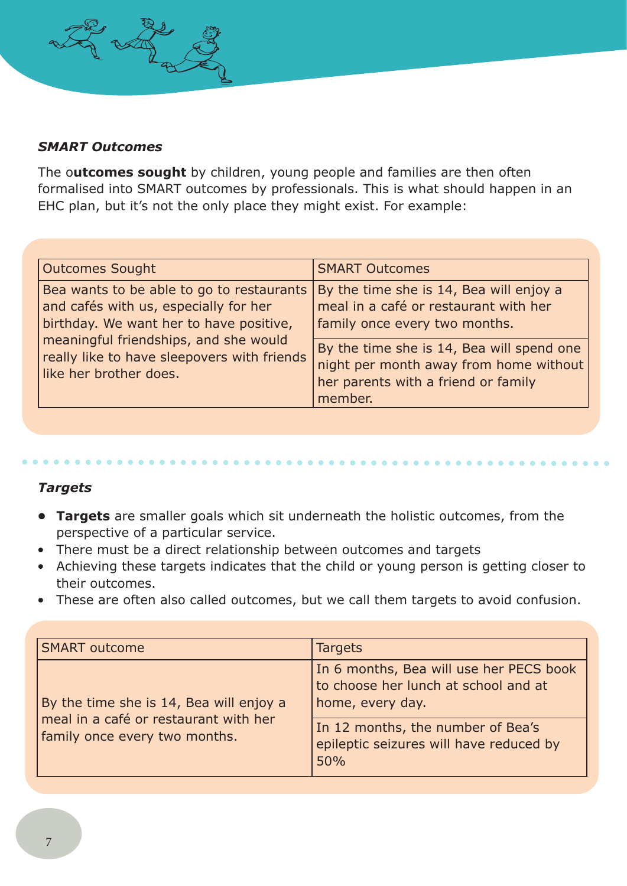

The o**utcomes sought** by children, young people and families are then often formalised into SMART outcomes by professionals. This is what should happen in an EHC plan, but it's not the only place they might exist. For example:

| <b>Outcomes Sought</b>                                                                                                                                                                                                                          | <b>SMART Outcomes</b>                                                                                                                                                                                                                                      |
|-------------------------------------------------------------------------------------------------------------------------------------------------------------------------------------------------------------------------------------------------|------------------------------------------------------------------------------------------------------------------------------------------------------------------------------------------------------------------------------------------------------------|
| Bea wants to be able to go to restaurants<br>and cafés with us, especially for her<br>birthday. We want her to have positive,<br>meaningful friendships, and she would<br>really like to have sleepovers with friends<br>like her brother does. | By the time she is 14, Bea will enjoy a<br>meal in a café or restaurant with her<br>family once every two months.<br>By the time she is 14, Bea will spend one<br>night per month away from home without<br>her parents with a friend or family<br>member. |

#### *Targets*

- **• Targets** are smaller goals which sit underneath the holistic outcomes, from the perspective of a particular service.
- There must be a direct relationship between outcomes and targets
- Achieving these targets indicates that the child or young person is getting closer to their outcomes.
- These are often also called outcomes, but we call them targets to avoid confusion.

| <b>SMART outcome</b>                                                                                              | <b>Targets</b>                                                                                      |
|-------------------------------------------------------------------------------------------------------------------|-----------------------------------------------------------------------------------------------------|
| By the time she is 14, Bea will enjoy a<br>meal in a café or restaurant with her<br>family once every two months. | In 6 months, Bea will use her PECS book<br>to choose her lunch at school and at<br>home, every day. |
|                                                                                                                   | In 12 months, the number of Bea's<br>epileptic seizures will have reduced by<br>50%                 |